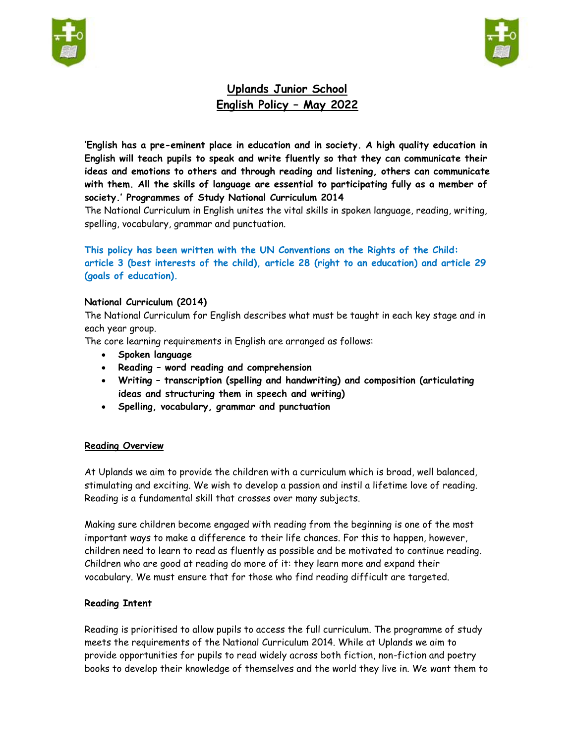



# **Uplands Junior School English Policy – May 2022**

**'English has a pre-eminent place in education and in society. A high quality education in English will teach pupils to speak and write fluently so that they can communicate their ideas and emotions to others and through reading and listening, others can communicate with them. All the skills of language are essential to participating fully as a member of society.' Programmes of Study National Curriculum 2014**

The National Curriculum in English unites the vital skills in spoken language, reading, writing, spelling, vocabulary, grammar and punctuation.

## **This policy has been written with the UN Conventions on the Rights of the Child: article 3 (best interests of the child), article 28 (right to an education) and article 29 (goals of education).**

#### **National Curriculum (2014)**

The National Curriculum for English describes what must be taught in each key stage and in each year group.

The core learning requirements in English are arranged as follows:

- **Spoken language**
- **Reading – word reading and comprehension**
- **Writing – transcription (spelling and handwriting) and composition (articulating ideas and structuring them in speech and writing)**
- **Spelling, vocabulary, grammar and punctuation**

#### **Reading Overview**

At Uplands we aim to provide the children with a curriculum which is broad, well balanced, stimulating and exciting. We wish to develop a passion and instil a lifetime love of reading. Reading is a fundamental skill that crosses over many subjects.

Making sure children become engaged with reading from the beginning is one of the most important ways to make a difference to their life chances. For this to happen, however, children need to learn to read as fluently as possible and be motivated to continue reading. Children who are good at reading do more of it: they learn more and expand their vocabulary. We must ensure that for those who find reading difficult are targeted.

## **Reading Intent**

Reading is prioritised to allow pupils to access the full curriculum. The programme of study meets the requirements of the National Curriculum 2014. While at Uplands we aim to provide opportunities for pupils to read widely across both fiction, non-fiction and poetry books to develop their knowledge of themselves and the world they live in. We want them to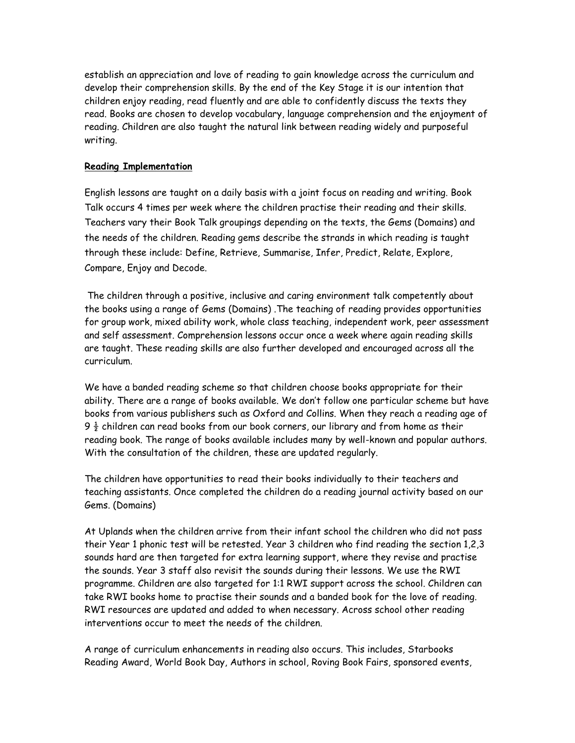establish an appreciation and love of reading to gain knowledge across the curriculum and develop their comprehension skills. By the end of the Key Stage it is our intention that children enjoy reading, read fluently and are able to confidently discuss the texts they read. Books are chosen to develop vocabulary, language comprehension and the enjoyment of reading. Children are also taught the natural link between reading widely and purposeful writing.

#### **Reading Implementation**

English lessons are taught on a daily basis with a joint focus on reading and writing. Book Talk occurs 4 times per week where the children practise their reading and their skills. Teachers vary their Book Talk groupings depending on the texts, the Gems (Domains) and the needs of the children. Reading gems describe the strands in which reading is taught through these include: Define, Retrieve, Summarise, Infer, Predict, Relate, Explore, Compare, Enjoy and Decode.

The children through a positive, inclusive and caring environment talk competently about the books using a range of Gems (Domains) .The teaching of reading provides opportunities for group work, mixed ability work, whole class teaching, independent work, peer assessment and self assessment. Comprehension lessons occur once a week where again reading skills are taught. These reading skills are also further developed and encouraged across all the curriculum.

We have a banded reading scheme so that children choose books appropriate for their ability. There are a range of books available. We don't follow one particular scheme but have books from various publishers such as Oxford and Collins. When they reach a reading age of 9  $\frac{1}{2}$  children can read books from our book corners, our library and from home as their reading book. The range of books available includes many by well-known and popular authors. With the consultation of the children, these are updated regularly.

The children have opportunities to read their books individually to their teachers and teaching assistants. Once completed the children do a reading journal activity based on our Gems. (Domains)

At Uplands when the children arrive from their infant school the children who did not pass their Year 1 phonic test will be retested. Year 3 children who find reading the section 1,2,3 sounds hard are then targeted for extra learning support, where they revise and practise the sounds. Year 3 staff also revisit the sounds during their lessons. We use the RWI programme. Children are also targeted for 1:1 RWI support across the school. Children can take RWI books home to practise their sounds and a banded book for the love of reading. RWI resources are updated and added to when necessary. Across school other reading interventions occur to meet the needs of the children.

A range of curriculum enhancements in reading also occurs. This includes, Starbooks Reading Award, World Book Day, Authors in school, Roving Book Fairs, sponsored events,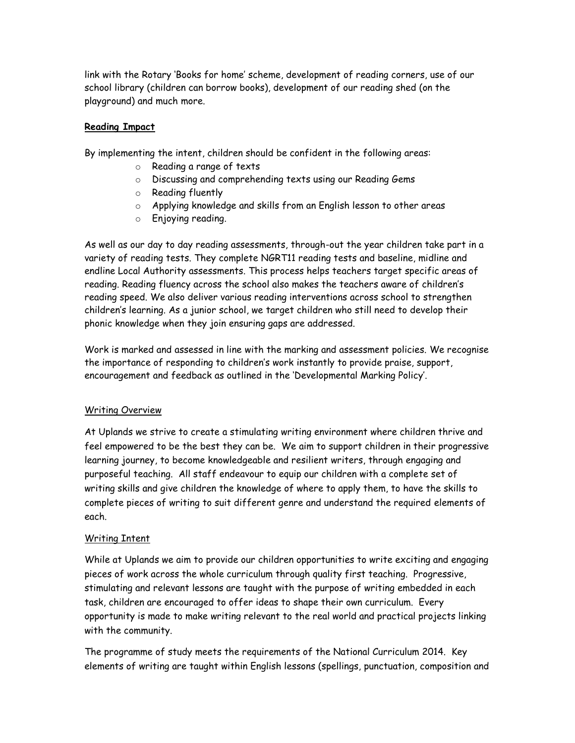link with the Rotary 'Books for home' scheme, development of reading corners, use of our school library (children can borrow books), development of our reading shed (on the playground) and much more.

## **Reading Impact**

By implementing the intent, children should be confident in the following areas:

- o Reading a range of texts
- o Discussing and comprehending texts using our Reading Gems
- o Reading fluently
- o Applying knowledge and skills from an English lesson to other areas
- o Enjoying reading.

As well as our day to day reading assessments, through-out the year children take part in a variety of reading tests. They complete NGRT11 reading tests and baseline, midline and endline Local Authority assessments. This process helps teachers target specific areas of reading. Reading fluency across the school also makes the teachers aware of children's reading speed. We also deliver various reading interventions across school to strengthen children's learning. As a junior school, we target children who still need to develop their phonic knowledge when they join ensuring gaps are addressed.

Work is marked and assessed in line with the marking and assessment policies. We recognise the importance of responding to children's work instantly to provide praise, support, encouragement and feedback as outlined in the 'Developmental Marking Policy'.

## Writing Overview

At Uplands we strive to create a stimulating writing environment where children thrive and feel empowered to be the best they can be. We aim to support children in their progressive learning journey, to become knowledgeable and resilient writers, through engaging and purposeful teaching. All staff endeavour to equip our children with a complete set of writing skills and give children the knowledge of where to apply them, to have the skills to complete pieces of writing to suit different genre and understand the required elements of each.

## Writing Intent

While at Uplands we aim to provide our children opportunities to write exciting and engaging pieces of work across the whole curriculum through quality first teaching. Progressive, stimulating and relevant lessons are taught with the purpose of writing embedded in each task, children are encouraged to offer ideas to shape their own curriculum. Every opportunity is made to make writing relevant to the real world and practical projects linking with the community.

The programme of study meets the requirements of the National Curriculum 2014. Key elements of writing are taught within English lessons (spellings, punctuation, composition and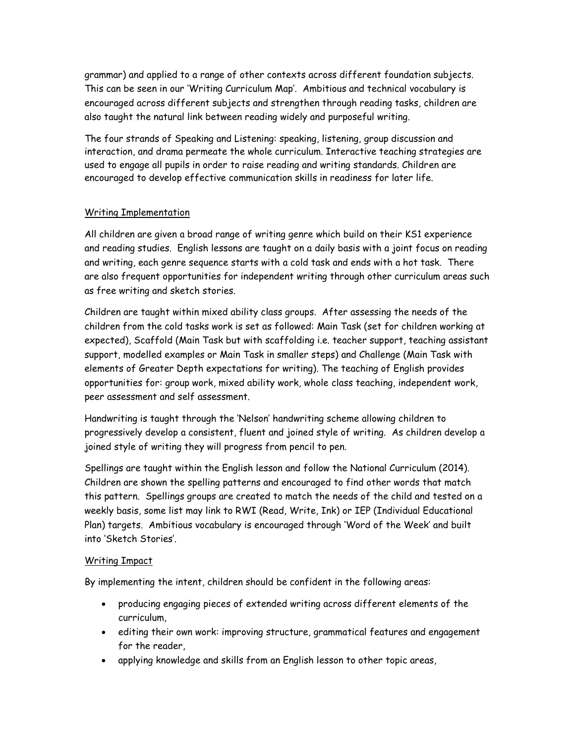grammar) and applied to a range of other contexts across different foundation subjects. This can be seen in our 'Writing Curriculum Map'. Ambitious and technical vocabulary is encouraged across different subjects and strengthen through reading tasks, children are also taught the natural link between reading widely and purposeful writing.

The four strands of Speaking and Listening: speaking, listening, group discussion and interaction, and drama permeate the whole curriculum. Interactive teaching strategies are used to engage all pupils in order to raise reading and writing standards. Children are encouraged to develop effective communication skills in readiness for later life.

## Writing Implementation

All children are given a broad range of writing genre which build on their KS1 experience and reading studies. English lessons are taught on a daily basis with a joint focus on reading and writing, each genre sequence starts with a cold task and ends with a hot task. There are also frequent opportunities for independent writing through other curriculum areas such as free writing and sketch stories.

Children are taught within mixed ability class groups. After assessing the needs of the children from the cold tasks work is set as followed: Main Task (set for children working at expected), Scaffold (Main Task but with scaffolding i.e. teacher support, teaching assistant support, modelled examples or Main Task in smaller steps) and Challenge (Main Task with elements of Greater Depth expectations for writing). The teaching of English provides opportunities for: group work, mixed ability work, whole class teaching, independent work, peer assessment and self assessment.

Handwriting is taught through the 'Nelson' handwriting scheme allowing children to progressively develop a consistent, fluent and joined style of writing. As children develop a joined style of writing they will progress from pencil to pen.

Spellings are taught within the English lesson and follow the National Curriculum (2014). Children are shown the spelling patterns and encouraged to find other words that match this pattern. Spellings groups are created to match the needs of the child and tested on a weekly basis, some list may link to RWI (Read, Write, Ink) or IEP (Individual Educational Plan) targets. Ambitious vocabulary is encouraged through 'Word of the Week' and built into 'Sketch Stories'.

## Writing Impact

By implementing the intent, children should be confident in the following areas:

- producing engaging pieces of extended writing across different elements of the curriculum,
- editing their own work: improving structure, grammatical features and engagement for the reader,
- applying knowledge and skills from an English lesson to other topic areas,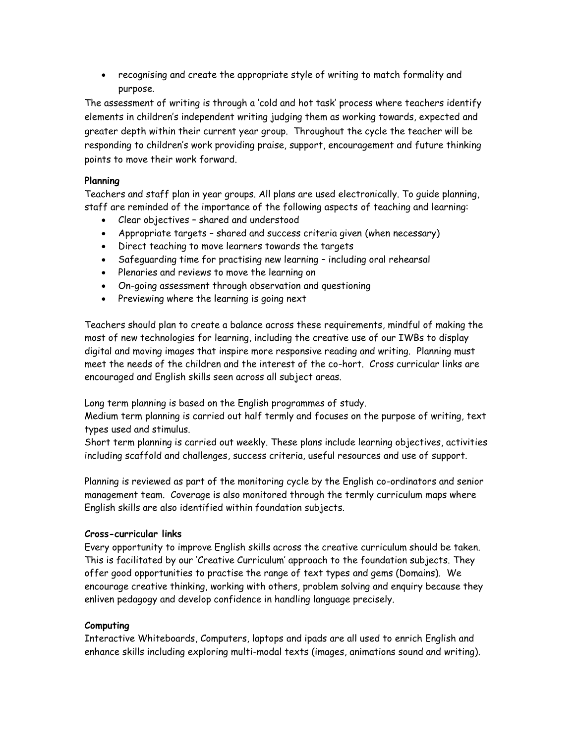recognising and create the appropriate style of writing to match formality and purpose.

The assessment of writing is through a 'cold and hot task' process where teachers identify elements in children's independent writing judging them as working towards, expected and greater depth within their current year group. Throughout the cycle the teacher will be responding to children's work providing praise, support, encouragement and future thinking points to move their work forward.

## **Planning**

Teachers and staff plan in year groups. All plans are used electronically. To guide planning, staff are reminded of the importance of the following aspects of teaching and learning:

- Clear objectives shared and understood
- Appropriate targets shared and success criteria given (when necessary)
- Direct teaching to move learners towards the targets
- Safeguarding time for practising new learning including oral rehearsal
- Plenaries and reviews to move the learning on
- On-going assessment through observation and questioning
- Previewing where the learning is going next

Teachers should plan to create a balance across these requirements, mindful of making the most of new technologies for learning, including the creative use of our IWBs to display digital and moving images that inspire more responsive reading and writing. Planning must meet the needs of the children and the interest of the co-hort. Cross curricular links are encouraged and English skills seen across all subject areas.

Long term planning is based on the English programmes of study.

Medium term planning is carried out half termly and focuses on the purpose of writing, text types used and stimulus.

Short term planning is carried out weekly. These plans include learning objectives, activities including scaffold and challenges, success criteria, useful resources and use of support.

Planning is reviewed as part of the monitoring cycle by the English co-ordinators and senior management team. Coverage is also monitored through the termly curriculum maps where English skills are also identified within foundation subjects.

## **Cross-curricular links**

Every opportunity to improve English skills across the creative curriculum should be taken. This is facilitated by our 'Creative Curriculum' approach to the foundation subjects. They offer good opportunities to practise the range of text types and gems (Domains). We encourage creative thinking, working with others, problem solving and enquiry because they enliven pedagogy and develop confidence in handling language precisely.

## **Computing**

Interactive Whiteboards, Computers, laptops and ipads are all used to enrich English and enhance skills including exploring multi-modal texts (images, animations sound and writing).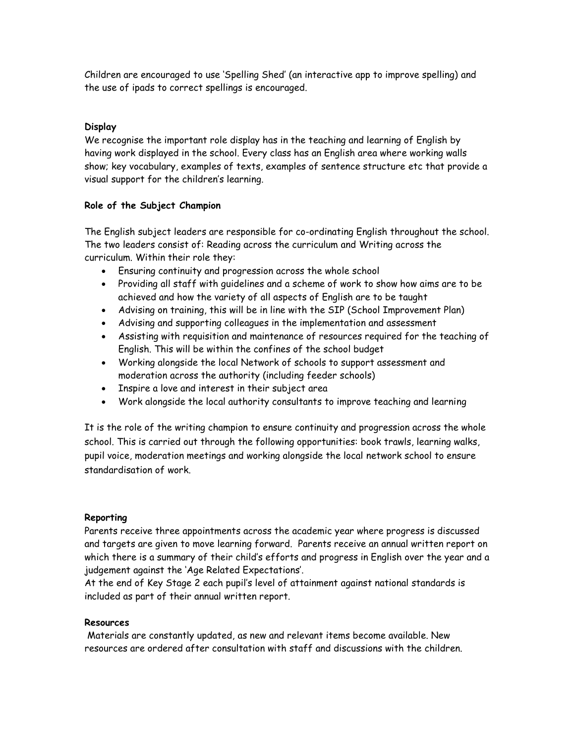Children are encouraged to use 'Spelling Shed' (an interactive app to improve spelling) and the use of ipads to correct spellings is encouraged.

## **Display**

We recognise the important role display has in the teaching and learning of English by having work displayed in the school. Every class has an English area where working walls show; key vocabulary, examples of texts, examples of sentence structure etc that provide a visual support for the children's learning.

#### **Role of the Subject Champion**

The English subject leaders are responsible for co-ordinating English throughout the school. The two leaders consist of: Reading across the curriculum and Writing across the curriculum. Within their role they:

- Ensuring continuity and progression across the whole school
- Providing all staff with guidelines and a scheme of work to show how aims are to be achieved and how the variety of all aspects of English are to be taught
- Advising on training, this will be in line with the SIP (School Improvement Plan)
- Advising and supporting colleagues in the implementation and assessment
- Assisting with requisition and maintenance of resources required for the teaching of English. This will be within the confines of the school budget
- Working alongside the local Network of schools to support assessment and moderation across the authority (including feeder schools)
- Inspire a love and interest in their subject area
- Work alongside the local authority consultants to improve teaching and learning

It is the role of the writing champion to ensure continuity and progression across the whole school. This is carried out through the following opportunities: book trawls, learning walks, pupil voice, moderation meetings and working alongside the local network school to ensure standardisation of work.

#### **Reporting**

Parents receive three appointments across the academic year where progress is discussed and targets are given to move learning forward. Parents receive an annual written report on which there is a summary of their child's efforts and progress in English over the year and a judgement against the 'Age Related Expectations'.

At the end of Key Stage 2 each pupil's level of attainment against national standards is included as part of their annual written report.

#### **Resources**

Materials are constantly updated, as new and relevant items become available. New resources are ordered after consultation with staff and discussions with the children.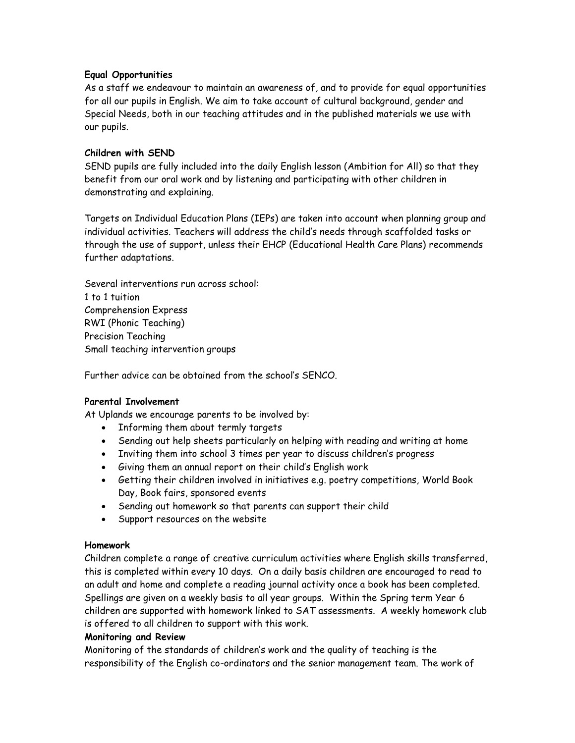#### **Equal Opportunities**

As a staff we endeavour to maintain an awareness of, and to provide for equal opportunities for all our pupils in English. We aim to take account of cultural background, gender and Special Needs, both in our teaching attitudes and in the published materials we use with our pupils.

#### **Children with SEND**

SEND pupils are fully included into the daily English lesson (Ambition for All) so that they benefit from our oral work and by listening and participating with other children in demonstrating and explaining.

Targets on Individual Education Plans (IEPs) are taken into account when planning group and individual activities. Teachers will address the child's needs through scaffolded tasks or through the use of support, unless their EHCP (Educational Health Care Plans) recommends further adaptations.

Several interventions run across school: 1 to 1 tuition Comprehension Express RWI (Phonic Teaching) Precision Teaching Small teaching intervention groups

Further advice can be obtained from the school's SENCO.

## **Parental Involvement**

At Uplands we encourage parents to be involved by:

- Informing them about termly targets
- Sending out help sheets particularly on helping with reading and writing at home
- Inviting them into school 3 times per year to discuss children's progress
- Giving them an annual report on their child's English work
- Getting their children involved in initiatives e.g. poetry competitions, World Book Day, Book fairs, sponsored events
- Sending out homework so that parents can support their child
- Support resources on the website

#### **Homework**

Children complete a range of creative curriculum activities where English skills transferred, this is completed within every 10 days. On a daily basis children are encouraged to read to an adult and home and complete a reading journal activity once a book has been completed. Spellings are given on a weekly basis to all year groups. Within the Spring term Year 6 children are supported with homework linked to SAT assessments. A weekly homework club is offered to all children to support with this work.

#### **Monitoring and Review**

Monitoring of the standards of children's work and the quality of teaching is the responsibility of the English co-ordinators and the senior management team. The work of